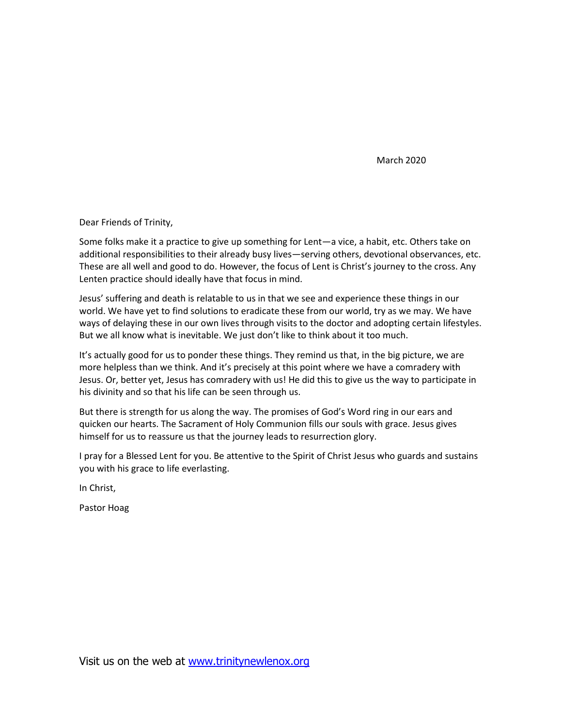March 2020

Dear Friends of Trinity,

Some folks make it a practice to give up something for Lent—a vice, a habit, etc. Others take on additional responsibilities to their already busy lives—serving others, devotional observances, etc. These are all well and good to do. However, the focus of Lent is Christ's journey to the cross. Any Lenten practice should ideally have that focus in mind.

Jesus' suffering and death is relatable to us in that we see and experience these things in our world. We have yet to find solutions to eradicate these from our world, try as we may. We have ways of delaying these in our own lives through visits to the doctor and adopting certain lifestyles. But we all know what is inevitable. We just don't like to think about it too much.

It's actually good for us to ponder these things. They remind us that, in the big picture, we are more helpless than we think. And it's precisely at this point where we have a comradery with Jesus. Or, better yet, Jesus has comradery with us! He did this to give us the way to participate in his divinity and so that his life can be seen through us.

But there is strength for us along the way. The promises of God's Word ring in our ears and quicken our hearts. The Sacrament of Holy Communion fills our souls with grace. Jesus gives himself for us to reassure us that the journey leads to resurrection glory.

I pray for a Blessed Lent for you. Be attentive to the Spirit of Christ Jesus who guards and sustains you with his grace to life everlasting.

In Christ,

Pastor Hoag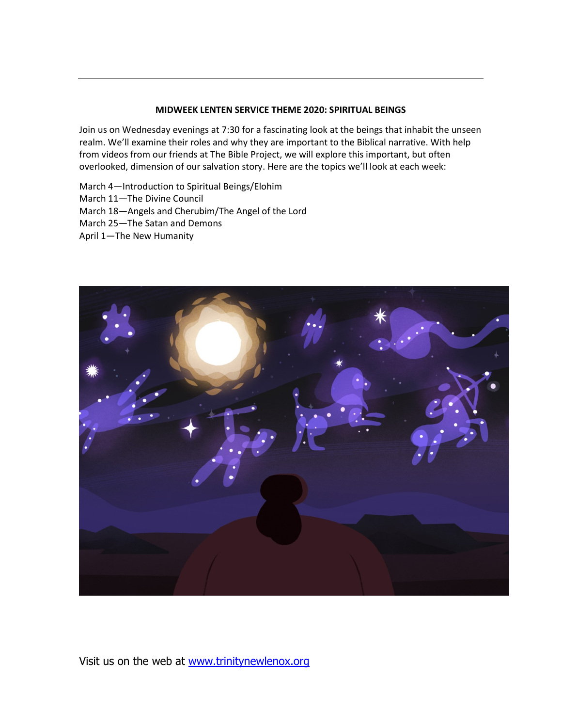### **MIDWEEK LENTEN SERVICE THEME 2020: SPIRITUAL BEINGS**

Join us on Wednesday evenings at 7:30 for a fascinating look at the beings that inhabit the unseen realm. We'll examine their roles and why they are important to the Biblical narrative. With help from videos from our friends at The Bible Project, we will explore this important, but often overlooked, dimension of our salvation story. Here are the topics we'll look at each week:

March 4—Introduction to Spiritual Beings/Elohim March 11—The Divine Council March 18—Angels and Cherubim/The Angel of the Lord March 25—The Satan and Demons April 1—The New Humanity

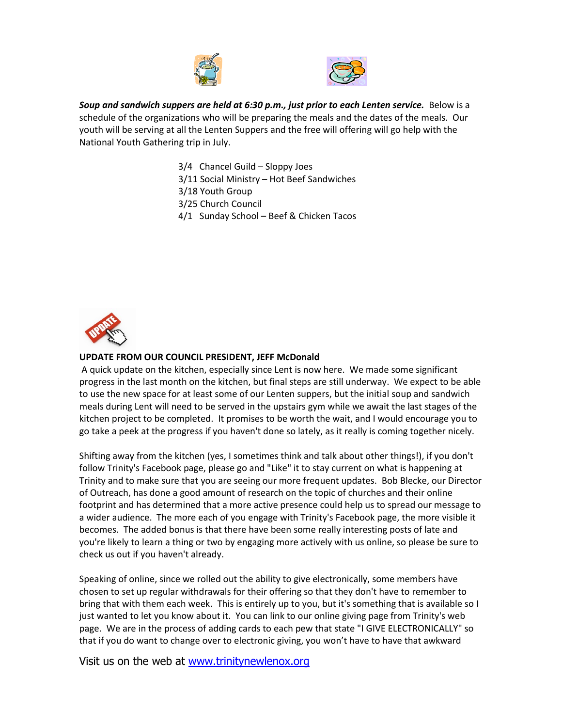



*Soup and sandwich suppers are held at 6:30 p.m., just prior to each Lenten service.* Below is a schedule of the organizations who will be preparing the meals and the dates of the meals. Our youth will be serving at all the Lenten Suppers and the free will offering will go help with the National Youth Gathering trip in July.

- 3/4 Chancel Guild Sloppy Joes
- 3/11 Social Ministry Hot Beef Sandwiches
- 3/18 Youth Group
- 3/25 Church Council
- 4/1 Sunday School Beef & Chicken Tacos



#### **UPDATE FROM OUR COUNCIL PRESIDENT, JEFF McDonald**

A quick update on the kitchen, especially since Lent is now here. We made some significant progress in the last month on the kitchen, but final steps are still underway. We expect to be able to use the new space for at least some of our Lenten suppers, but the initial soup and sandwich meals during Lent will need to be served in the upstairs gym while we await the last stages of the kitchen project to be completed. It promises to be worth the wait, and I would encourage you to go take a peek at the progress if you haven't done so lately, as it really is coming together nicely.

Shifting away from the kitchen (yes, I sometimes think and talk about other things!), if you don't follow Trinity's Facebook page, please go and "Like" it to stay current on what is happening at Trinity and to make sure that you are seeing our more frequent updates. Bob Blecke, our Director of Outreach, has done a good amount of research on the topic of churches and their online footprint and has determined that a more active presence could help us to spread our message to a wider audience. The more each of you engage with Trinity's Facebook page, the more visible it becomes. The added bonus is that there have been some really interesting posts of late and you're likely to learn a thing or two by engaging more actively with us online, so please be sure to check us out if you haven't already.

Speaking of online, since we rolled out the ability to give electronically, some members have chosen to set up regular withdrawals for their offering so that they don't have to remember to bring that with them each week. This is entirely up to you, but it's something that is available so I just wanted to let you know about it. You can link to our online giving page from Trinity's web page. We are in the process of adding cards to each pew that state "I GIVE ELECTRONICALLY" so that if you do want to change over to electronic giving, you won't have to have that awkward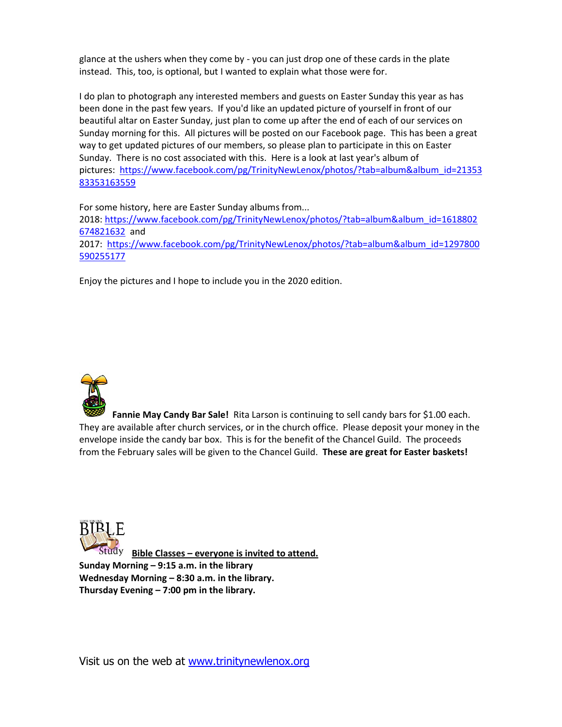glance at the ushers when they come by - you can just drop one of these cards in the plate instead. This, too, is optional, but I wanted to explain what those were for.

I do plan to photograph any interested members and guests on Easter Sunday this year as has been done in the past few years. If you'd like an updated picture of yourself in front of our beautiful altar on Easter Sunday, just plan to come up after the end of each of our services on Sunday morning for this. All pictures will be posted on our Facebook page. This has been a great way to get updated pictures of our members, so please plan to participate in this on Easter Sunday. There is no cost associated with this. Here is a look at last year's album of pictures: [https://www.facebook.com/pg/TrinityNewLenox/photos/?tab=album&album\\_id=21353](https://www.facebook.com/pg/TrinityNewLenox/photos/?tab=album&album_id=2135383353163559) [83353163559](https://www.facebook.com/pg/TrinityNewLenox/photos/?tab=album&album_id=2135383353163559)

For some history, here are Easter Sunday albums from... 2018: [https://www.facebook.com/pg/TrinityNewLenox/photos/?tab=album&album\\_id=1618802](https://www.facebook.com/pg/TrinityNewLenox/photos/?tab=album&album_id=1618802674821632) [674821632](https://www.facebook.com/pg/TrinityNewLenox/photos/?tab=album&album_id=1618802674821632) and 2017: [https://www.facebook.com/pg/TrinityNewLenox/photos/?tab=album&album\\_id=1297800](https://www.facebook.com/pg/TrinityNewLenox/photos/?tab=album&album_id=1297800590255177) [590255177](https://www.facebook.com/pg/TrinityNewLenox/photos/?tab=album&album_id=1297800590255177) 

Enjoy the pictures and I hope to include you in the 2020 edition.



**Fannie May Candy Bar Sale!** Rita Larson is continuing to sell candy bars for \$1.00 each. They are available after church services, or in the church office. Please deposit your money in the envelope inside the candy bar box. This is for the benefit of the Chancel Guild. The proceeds from the February sales will be given to the Chancel Guild. **These are great for Easter baskets!** 



 **Bible Classes – everyone is invited to attend. Sunday Morning – 9:15 a.m. in the library Wednesday Morning – 8:30 a.m. in the library. Thursday Evening – 7:00 pm in the library.**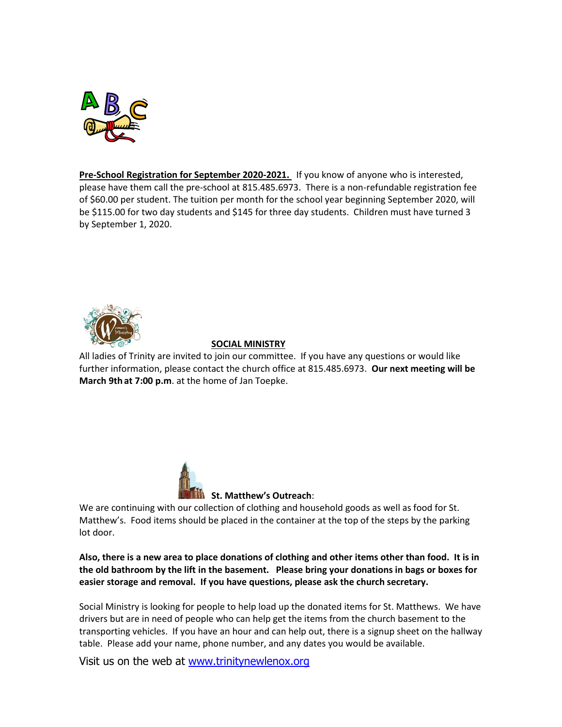

**Pre-School Registration for September 2020-2021.** If you know of anyone who is interested, please have them call the pre-school at 815.485.6973. There is a non-refundable registration fee of \$60.00 per student. The tuition per month for the school year beginning September 2020, will be \$115.00 for two day students and \$145 for three day students. Children must have turned 3 by September 1, 2020.



# **SOCIAL MINISTRY**

All ladies of Trinity are invited to join our committee. If you have any questions or would like further information, please contact the church office at 815.485.6973. **Our next meeting will be March 9th at 7:00 p.m**. at the home of Jan Toepke.



We are continuing with our collection of clothing and household goods as well as food for St. Matthew's. Food items should be placed in the container at the top of the steps by the parking lot door.

**Also, there is a new area to place donations of clothing and other items other than food. It is in the old bathroom by the lift in the basement. Please bring your donations in bags or boxes for easier storage and removal. If you have questions, please ask the church secretary.**

Social Ministry is looking for people to help load up the donated items for St. Matthews. We have drivers but are in need of people who can help get the items from the church basement to the transporting vehicles. If you have an hour and can help out, there is a signup sheet on the hallway table. Please add your name, phone number, and any dates you would be available.

Visit us on the web at [www.trinitynewlenox.org](http://www.trinitynewlenox.org/)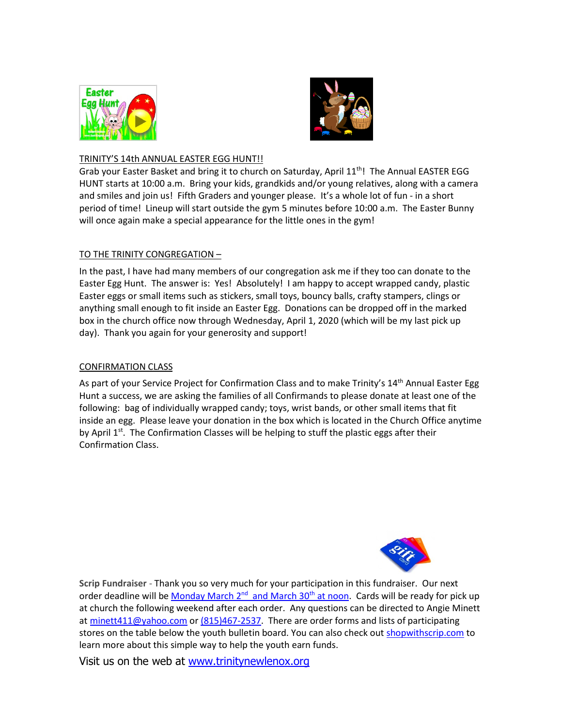



## TRINITY'S 14th ANNUAL EASTER EGG HUNT!!

Grab your Easter Basket and bring it to church on Saturday, April 11<sup>th</sup>! The Annual EASTER EGG HUNT starts at 10:00 a.m. Bring your kids, grandkids and/or young relatives, along with a camera and smiles and join us! Fifth Graders and younger please. It's a whole lot of fun - in a short period of time! Lineup will start outside the gym 5 minutes before 10:00 a.m. The Easter Bunny will once again make a special appearance for the little ones in the gym!

## TO THE TRINITY CONGREGATION –

In the past, I have had many members of our congregation ask me if they too can donate to the Easter Egg Hunt. The answer is: Yes! Absolutely! I am happy to accept wrapped candy, plastic Easter eggs or small items such as stickers, small toys, bouncy balls, crafty stampers, clings or anything small enough to fit inside an Easter Egg. Donations can be dropped off in the marked box in the church office now through Wednesday, April 1, 2020 (which will be my last pick up day). Thank you again for your generosity and support!

#### CONFIRMATION CLASS

As part of your Service Project for Confirmation Class and to make Trinity's 14<sup>th</sup> Annual Easter Egg Hunt a success, we are asking the families of all Confirmands to please donate at least one of the following: bag of individually wrapped candy; toys, wrist bands, or other small items that fit inside an egg. Please leave your donation in the box which is located in the Church Office anytime by April  $1<sup>st</sup>$ . The Confirmation Classes will be helping to stuff the plastic eggs after their Confirmation Class.



**Scrip Fundraiser** - Thank you so very much for your participation in this fundraiser. Our next order deadline will be [Monday March 2](x-apple-data-detectors://0/)<sup>nd</sup> and March 30<sup>th</sup> at noon. Cards will be ready for pick up at church the following weekend after each order. Any questions can be directed to Angie Minett at [minett411@yahoo.com](mailto:minett411@yahoo.com) or [\(815\)467-2537.](tel:(815)467-2537) There are order forms and lists of participating stores on the table below the youth bulletin board. You can also check out [shopwithscrip.com](http://shopwithscrip.com/) to learn more about this simple way to help the youth earn funds.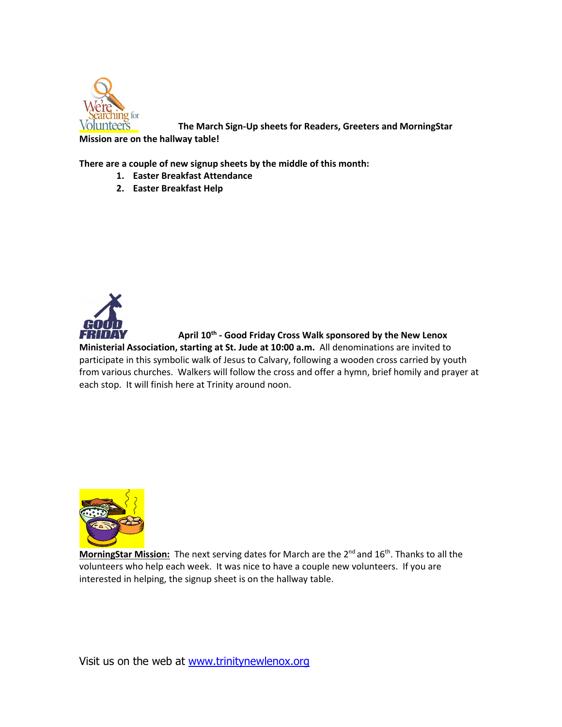

**The March Sign-Up sheets for Readers, Greeters and MorningStar** 

**Mission are on the hallway table!**

**There are a couple of new signup sheets by the middle of this month:**

- **1. Easter Breakfast Attendance**
- **2. Easter Breakfast Help**



**April 10 th - Good Friday Cross Walk sponsored by the New Lenox** 

**Ministerial Association, starting at St. Jude at 10:00 a.m.** All denominations are invited to participate in this symbolic walk of Jesus to Calvary, following a wooden cross carried by youth from various churches. Walkers will follow the cross and offer a hymn, brief homily and prayer at each stop. It will finish here at Trinity around noon.



**MorningStar Mission:** The next serving dates for March are the 2<sup>nd</sup> and 16<sup>th</sup>. Thanks to all the volunteers who help each week. It was nice to have a couple new volunteers. If you are interested in helping, the signup sheet is on the hallway table.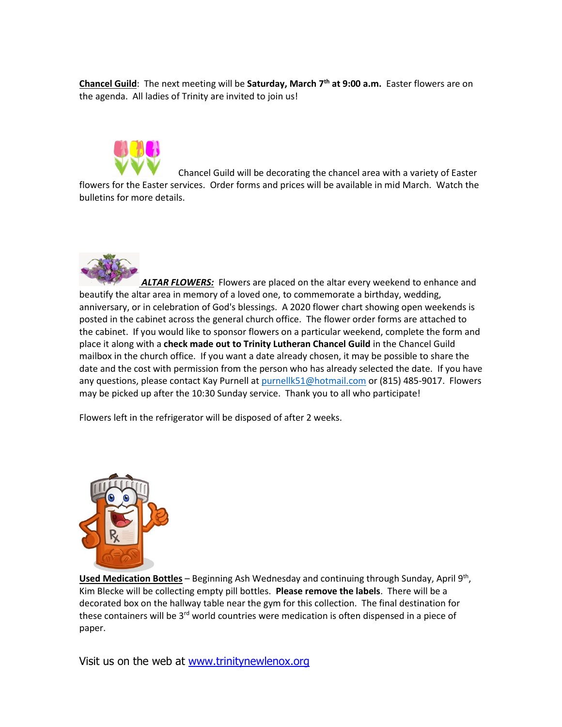**Chancel Guild**: The next meeting will be **Saturday, March 7 th at 9:00 a.m.** Easter flowers are on the agenda. All ladies of Trinity are invited to join us!



Chancel Guild will be decorating the chancel area with a variety of Easter flowers for the Easter services. Order forms and prices will be available in mid March. Watch the bulletins for more details.



ALTAR FLOWERS: Flowers are placed on the altar every weekend to enhance and beautify the altar area in memory of a loved one, to commemorate a birthday, wedding, anniversary, or in celebration of God's blessings. A 2020 flower chart showing open weekends is posted in the cabinet across the general church office. The flower order forms are attached to the cabinet. If you would like to sponsor flowers on a particular weekend, complete the form and place it along with a **check made out to Trinity Lutheran Chancel Guild** in the Chancel Guild mailbox in the church office. If you want a date already chosen, it may be possible to share the date and the cost with permission from the person who has already selected the date. If you have any questions, please contact Kay Purnell at [purnellk51@hotmail.com](mailto:purnellk51@hotmail.com) or (815) 485-9017. Flowers may be picked up after the 10:30 Sunday service. Thank you to all who participate!

Flowers left in the refrigerator will be disposed of after 2 weeks.



Used Medication Bottles - Beginning Ash Wednesday and continuing through Sunday, April 9<sup>th</sup>, Kim Blecke will be collecting empty pill bottles. **Please remove the labels**. There will be a decorated box on the hallway table near the gym for this collection. The final destination for these containers will be 3<sup>rd</sup> world countries were medication is often dispensed in a piece of paper.